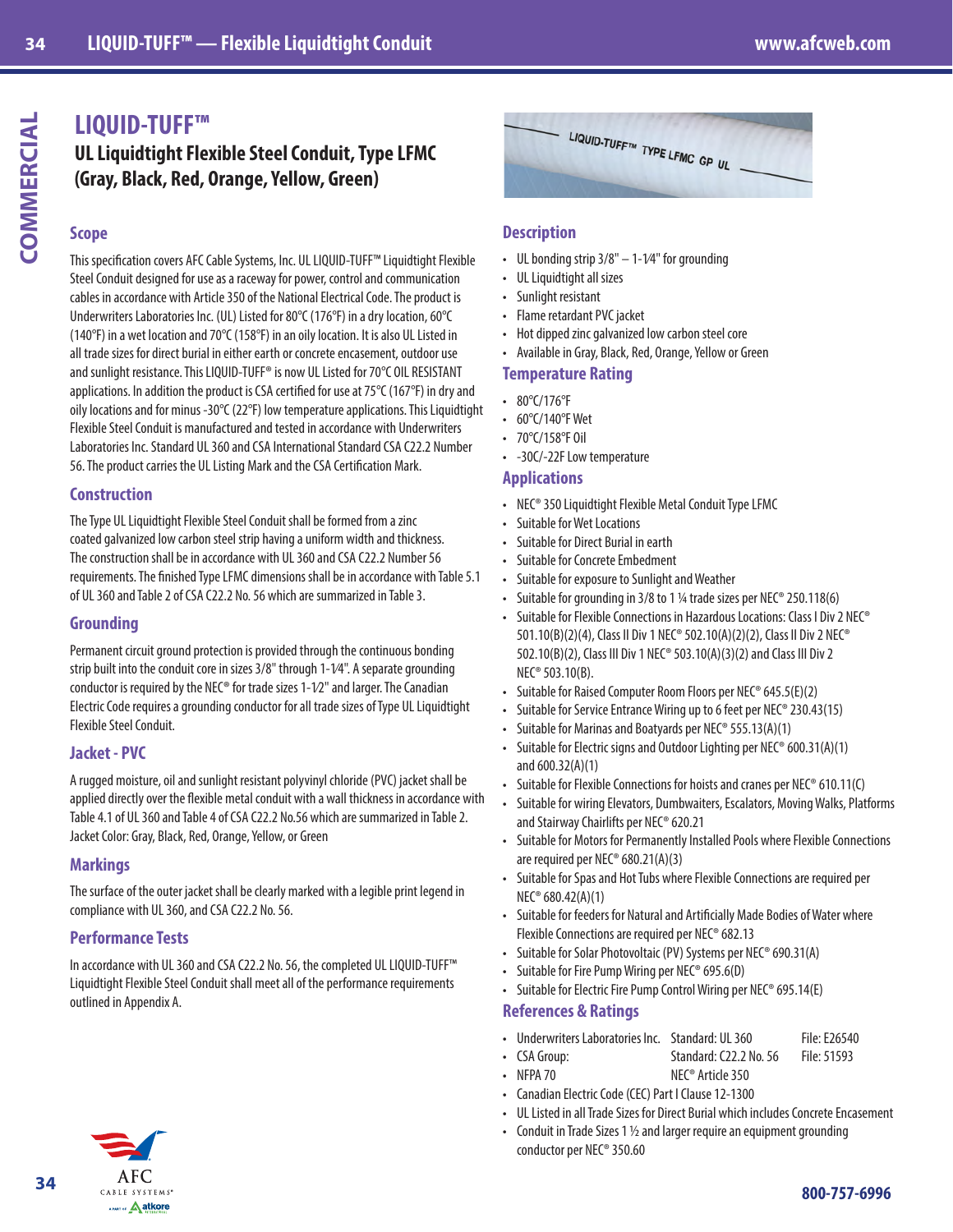# **LIQUID-TUFF™**

**UL Liquidtight Flexible Steel Conduit, Type LFMC (Gray, Black, Red, Orange, Yellow, Green)**

#### **Scope**

This specification covers AFC Cable Systems, Inc. UL LIQUID-TUFF™ Liquidtight Flexible Steel Conduit designed for use as a raceway for power, control and communication cables in accordance with Article 350 of the National Electrical Code. The product is Underwriters Laboratories Inc. (UL) Listed for 80°C (176°F) in a dry location, 60°C (140°F) in a wet location and 70°C (158°F) in an oily location. It is also UL Listed in all trade sizes for direct burial in either earth or concrete encasement, outdoor use and sunlight resistance. This LIQUID-TUFF® is now UL Listed for 70°C OIL RESISTANT applications. In addition the product is CSA certified for use at 75°C (167°F) in dry and oily locations and for minus -30°C (22°F) low temperature applications. This Liquidtight Flexible Steel Conduit is manufactured and tested in accordance with Underwriters Laboratories Inc. Standard UL 360 and CSA International Standard CSA C22.2 Number 56. The product carries the UL Listing Mark and the CSA Certification Mark.

# **Construction**

The Type UL Liquidtight Flexible Steel Conduit shall be formed from a zinc coated galvanized low carbon steel strip having a uniform width and thickness. The construction shall be in accordance with UL 360 and CSA C22.2 Number 56 requirements. The finished Type LFMC dimensions shall be in accordance with Table 5.1 of UL 360 and Table 2 of CSA C22.2 No. 56 which are summarized in Table 3.

#### **Grounding**

Permanent circuit ground protection is provided through the continuous bonding strip built into the conduit core in sizes 3/8" through 1-1⁄4". A separate grounding conductor is required by the NEC® for trade sizes  $1$ - $1/2$ " and larger. The Canadian Electric Code requires a grounding conductor for all trade sizes of Type UL Liquidtight Flexible Steel Conduit.

# **Jacket - PVC**

A rugged moisture, oil and sunlight resistant polyvinyl chloride (PVC) jacket shall be applied directly over the flexible metal conduit with a wall thickness in accordance with Table 4.1 of UL 360 and Table 4 of CSA C22.2 No.56 which are summarized in Table 2. Jacket Color: Gray, Black, Red, Orange, Yellow, or Green

# **Markings**

The surface of the outer jacket shall be clearly marked with a legible print legend in compliance with UL 360, and CSA C22.2 No. 56.

# **Performance Tests**

In accordance with UL 360 and CSA C22.2 No. 56, the completed UL LIQUID-TUFF™ Liquidtight Flexible Steel Conduit shall meet all of the performance requirements outlined in Appendix A.



#### **Description**

- UL bonding strip  $3/8" 1 1/4"$  for grounding
- UL Liquidtight all sizes
- Sunlight resistant
- Flame retardant PVC jacket
- Hot dipped zinc galvanized low carbon steel core
- Available in Gray, Black, Red, Orange, Yellow or Green

#### **Temperature Rating**

- 80°C/176°F
- 60°C/140°F Wet
- 70°C/158°F Oil
- -30C/-22F Low temperature

#### **Applications**

- NEC® 350 Liquidtight Flexible Metal Conduit Type LFMC
- Suitable for Wet Locations
- Suitable for Direct Burial in earth
- Suitable for Concrete Embedment
- Suitable for exposure to Sunlight and Weather
- Suitable for grounding in 3/8 to 1 ¼ trade sizes per NEC® 250.118(6)
- Suitable for Flexible Connections in Hazardous Locations: Class I Div 2 NEC® 501.10(B)(2)(4), Class II Div 1 NEC® 502.10(A)(2)(2), Class II Div 2 NEC® 502.10(B)(2), Class III Div 1 NEC® 503.10(A)(3)(2) and Class III Div 2 NEC® 503.10(B).
- Suitable for Raised Computer Room Floors per NEC® 645.5(E)(2)
- Suitable for Service Entrance Wiring up to 6 feet per NEC® 230.43(15)
- Suitable for Marinas and Boatyards per NEC® 555.13(A)(1)
- Suitable for Electric signs and Outdoor Lighting per NEC® 600.31(A)(1) and 600.32(A)(1)
- Suitable for Flexible Connections for hoists and cranes per NEC® 610.11(C)
- Suitable for wiring Elevators, Dumbwaiters, Escalators, Moving Walks, Platforms and Stairway Chairlifts per NEC® 620.21
- Suitable for Motors for Permanently Installed Pools where Flexible Connections are required per NEC® 680.21(A)(3)
- Suitable for Spas and Hot Tubs where Flexible Connections are required per NEC® 680.42(A)(1)
- Suitable for feeders for Natural and Artificially Made Bodies of Water where Flexible Connections are required per NEC® 682.13
- Suitable for Solar Photovoltaic (PV) Systems per NEC® 690.31(A)
- Suitable for Fire Pump Wiring per NEC® 695.6(D)
- Suitable for Electric Fire Pump Control Wiring per NEC® 695.14(E)

#### **References & Ratings**

- Underwriters Laboratories Inc. Standard: UL 360 File: E26540
- CSA Group: Standard: C22.2 No. 56 File: 51593
- NFPA 70 NEC<sup>®</sup> Article 350
- Canadian Electric Code (CEC) Part I Clause 12-1300
- UL Listed in all Trade Sizes for Direct Burial which includes Concrete Encasement
- Conduit in Trade Sizes 1  $\frac{1}{2}$  and larger require an equipment grounding conductor per NEC® 350.60